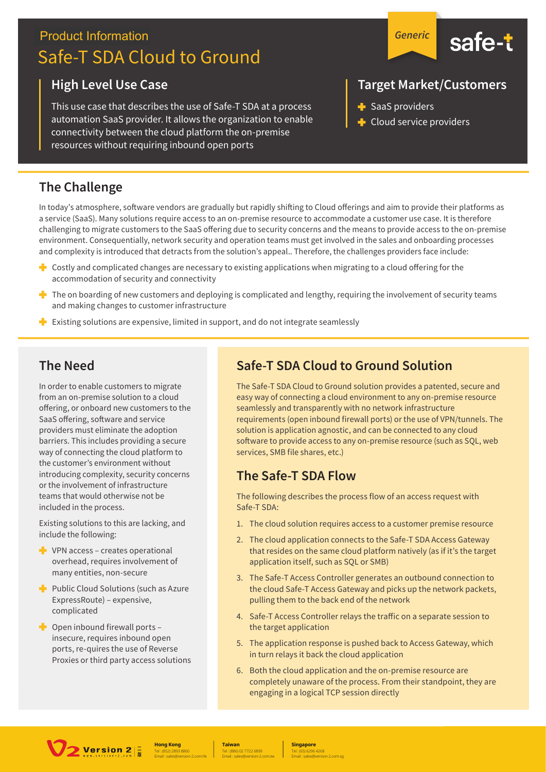# **Product Information** Safe-T SDA Cloud to Ground

#### **High Level Use Case**

This use case that describes the use of Safe-T SDA at a process automation SaaS provider. It allows the organization to enable connectivity between the cloud platform the on-premise resources without requiring inbound open ports

### **The Challenge**

In today's atmosphere, software vendors are gradually but rapidly shifting to Cloud offerings and aim to provide their platforms as a service (SaaS). Many solutions require access to an on-premise resource to accommodate a customer use case. It is therefore challenging to migrate customers to the SaaS offering due to security concerns and the means to provide access to the on-premise environment. Consequentially, network security and operation teams must get involved in the sales and onboarding processes and complexity is introduced that detracts from the solution's appeal.. Therefore, the challenges providers face include:

- ÷. Costly and complicated changes are necessary to existing applications when migrating to a cloud offering for the accommodation of security and connectivity
- The on boarding of new customers and deploying is complicated and lengthy, requiring the involvement of security teams and making changes to customer infrastructure
- Existing solutions are expensive, limited in support, and do not integrate seamlessly

#### **The Need**

In order to enable customers to migrate from an on-premise solution to a cloud offering, or onboard new customers to the SaaS offering, software and service providers must eliminate the adoption barriers. This includes providing a secure way of connecting the cloud platform to the customer's environment without introducing complexity, security concerns or the involvement of infrastructure teams that would otherwise not be included in the process.

Existing solutions to this are lacking, and include the following:

- $\blacksquare$  VPN access creates operational overhead, requires involvement of many entities, non-secure
- Public Cloud Solutions (such as Azure ExpressRoute) - expensive, complicated
- $\bullet$  Open inbound firewall ports insecure, requires inbound open ports, re-quires the use of Reverse Proxies or third party access solutions

## **Safe-T SDA Cloud to Ground Solution**

The Safe-T SDA Cloud to Ground solution provides a patented, secure and easy way of connecting a cloud environment to any on-premise resource seamlessly and transparently with no network infrastructure requirements (open inbound firewall ports) or the use of VPN/tunnels. The solution is application agnostic, and can be connected to any cloud software to provide access to any on-premise resource (such as SQL, web services, SMB file shares, etc.)

### The Safe-T SDA Flow

The following describes the process flow of an access request with Safe-T SDA:

- 1. The cloud solution requires access to a customer premise resource
- 2. The cloud application connects to the Safe-T SDA Access Gateway that resides on the same cloud platform natively (as if it's the target application itself, such as SQL or SMB)
- 3. The Safe-T Access Controller generates an outbound connection to the cloud Safe-T Access Gateway and picks up the network packets, pulling them to the back end of the network
- 4. Safe-T Access Controller relays the traffic on a separate session to the target application
- 5. The application response is pushed back to Access Gateway, which in turn relays it back the cloud application
- 6. Both the cloud application and the on-premise resource are completely unaware of the process. From their standpoint, they are engaging in a logical TCP session directly



**Hong Kong** 

**Taiwan** 

**Singapore** 





## **Target Market/Customers**

- $\blacktriangleright$  SaaS providers
- Cloud service providers